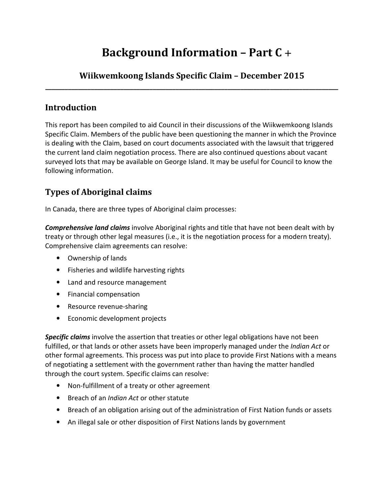# **Background Information – Part C** +

### **Wiikwemkoong Islands Specific Claim – December 2015 \_\_\_\_\_\_\_\_\_\_\_\_\_\_\_\_\_\_\_\_\_\_\_\_\_\_\_\_\_\_\_\_\_\_\_\_\_\_\_\_\_\_\_\_\_\_\_\_\_\_\_\_\_\_\_\_\_\_\_\_\_\_\_\_\_\_\_\_\_\_\_\_\_\_\_\_\_\_\_\_\_\_\_\_\_\_\_\_\_\_**

### **Introduction**

 This report has been compiled to aid Council in their discussions of the Wiikwemkoong Islands Specific Claim. Members of the public have been questioning the manner in which the Province is dealing with the Claim, based on court documents associated with the lawsuit that triggered the current land claim negotiation process. There are also continued questions about vacant surveyed lots that may be available on George Island. It may be useful for Council to know the following information.

### **Types of Aboriginal claims**

In Canada, there are three types of Aboriginal claim processes:

 *Comprehensive land claims* involve Aboriginal rights and title that have not been dealt with by treaty or through other legal measures (i.e., it is the negotiation process for a modern treaty). Comprehensive claim agreements can resolve:

- Ownership of lands
- Fisheries and wildlife harvesting rights
- Land and resource management
- **•** Financial compensation
- **•** Resource revenue-sharing
- Financial compensation<br>• Resource revenue-sharing<br>• Economic development projects

 *Specific claims* involve the assertion that treaties or other legal obligations have not been fulfilled, or that lands or other assets have been improperly managed under the *Indian Act* or other formal agreements. This process was put into place to provide First Nations with a means of negotiating a settlement with the government rather than having the matter handled through the court system. Specific claims can resolve:

- Non-fulfillment of a treaty or other agreement
- Breach of an *Indian Act* or other statute
- Breach of an obligation arising out of the administration of First Nation funds or assets
- An illegal sale or other disposition of First Nations lands by government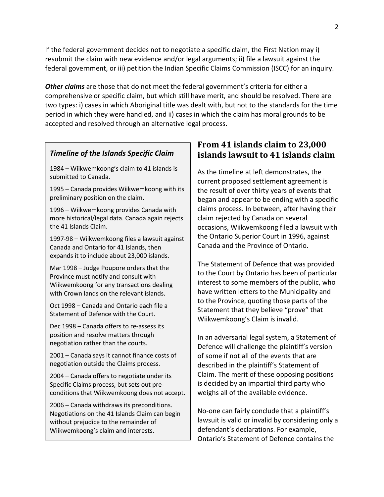If the federal government decides not to negotiate a specific claim, the First Nation may i) resubmit the claim with new evidence and/or legal arguments; ii) file a lawsuit against the federal government, or iii) petition the Indian Specific Claims Commission (ISCC) for an inquiry.

 *Other claims* are those that do not meet the federal government's criteria for either a comprehensive or specific claim, but which still have merit, and should be resolved. There are two types: i) cases in which Aboriginal title was dealt with, but not to the standards for the time period in which they were handled, and ii) cases in which the claim has moral grounds to be accepted and resolved through an alternative legal process.

#### *Timeline of the Islands Specific Claim*

1984 – Wiikwemkoong's claim to 41 islands is submitted to Canada.

1995 – Canada provides Wiikwemkoong with its preliminary position on the claim.

1996 – Wiikwemkoong provides Canada with more historical/legal data. Canada again rejects the 41 Islands Claim.

1997-98 – Wiikwemkoong files a lawsuit against Canada and Ontario for 41 Islands, then expands it to include about 23,000 islands.

Mar 1998 – Judge Poupore orders that the Province must notify and consult with Wiikwemkoong for any transactions dealing with Crown lands on the relevant islands.

Oct 1998 – Canada and Ontario each file a Statement of Defence with the Court.

Dec 1998 – Canada offers to re-assess its position and resolve matters through negotiation rather than the courts.

2001 – Canada says it cannot finance costs of negotiation outside the Claims process.

2004 – Canada offers to negotiate under its Specific Claims process, but sets out preconditions that Wiikwemkoong does not accept.

2006 – Canada withdraws its preconditions. Negotiations on the 41 Islands Claim can begin without prejudice to the remainder of Wiikwemkoong's claim and interests.

### **From 41 islands claim to 23,000 islands lawsuit to 41 islands claim**

 As the timeline at left demonstrates, the current proposed settlement agreement is the result of over thirty years of events that began and appear to be ending with a specific claims process. In between, after having their claim rejected by Canada on several occasions, Wiikwemkoong filed a lawsuit with the Ontario Superior Court in 1996, against Canada and the Province of Ontario.

 The Statement of Defence that was provided to the Court by Ontario has been of particular interest to some members of the public, who have written letters to the Municipality and to the Province, quoting those parts of the Statement that they believe "prove" that Wiikwemkoong's Claim is invalid.

 In an adversarial legal system, a Statement of Defence will challenge the plaintiff's version of some if not all of the events that are described in the plaintiff's Statement of Claim. The merit of these opposing positions is decided by an impartial third party who weighs all of the available evidence.

 No-one can fairly conclude that a plaintiff's lawsuit is valid or invalid by considering only a defendant's declarations. For example, Ontario's Statement of Defence contains the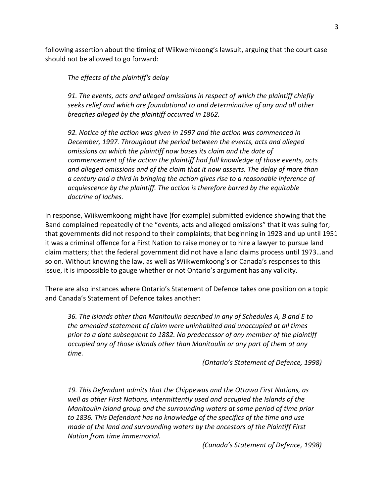following assertion about the timing of Wiikwemkoong's lawsuit, arguing that the court case should not be allowed to go forward:

 *The effects of the plaintiff's delay* 

 *91. The events, acts and alleged omissions in respect of which the plaintiff chiefly seeks relief and which are foundational to and determinative of any and all other breaches alleged by the plaintiff occurred in 1862.* 

 *92. Notice of the action was given in 1997 and the action was commenced in December, 1997. Throughout the period between the events, acts and alleged omissions on which the plaintiff now bases its claim and the date of commencement of the action the plaintiff had full knowledge of those events, acts and alleged omissions and of the claim that it now asserts. The delay of more than a century and a third in bringing the action gives rise to a reasonable inference of acquiescence by the plaintiff. The action is therefore barred by the equitable doctrine of laches.* 

 In response, Wiikwemkoong might have (for example) submitted evidence showing that the Band complained repeatedly of the "events, acts and alleged omissions" that it was suing for; that governments did not respond to their complaints; that beginning in 1923 and up until 1951 it was a criminal offence for a First Nation to raise money or to hire a lawyer to pursue land claim matters; that the federal government did not have a land claims process until 1973…and so on. Without knowing the law, as well as Wiikwemkoong's or Canada's responses to this issue, it is impossible to gauge whether or not Ontario's argument has any validity.

 There are also instances where Ontario's Statement of Defence takes one position on a topic and Canada's Statement of Defence takes another:

 *36. The islands other than Manitoulin described in any of Schedules A, B and E to the amended statement of claim were uninhabited and unoccupied at all times prior to a date subsequent to 1882. No predecessor of any member of the plaintiff occupied any of those islands other than Manitoulin or any part of them at any*  time.  *time. (Ontario's Statement of Defence, 1998)* 

 *19. This Defendant admits that the Chippewas and the Ottawa First Nations, as well as other First Nations, intermittently used and occupied the Islands of the Manitoulin Island group and the surrounding waters at some period of time prior to 1836. This Defendant has no knowledge of the specifics of the time and use made of the land and surrounding waters by the ancestors of the Plaintiff First Nation from time immemorial.* 

 *(Canada's Statement of Defence, 1998)*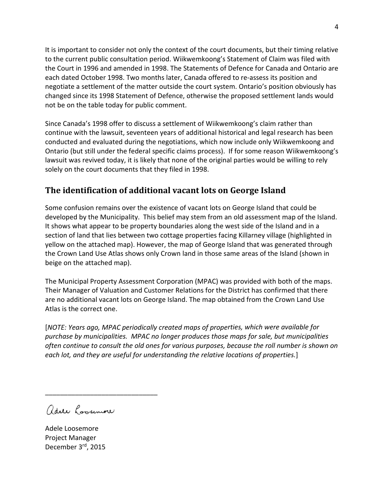It is important to consider not only the context of the court documents, but their timing relative to the current public consultation period. Wiikwemkoong's Statement of Claim was filed with the Court in 1996 and amended in 1998. The Statements of Defence for Canada and Ontario are each dated October 1998. Two months later, Canada offered to re-assess its position and negotiate a settlement of the matter outside the court system. Ontario's position obviously has changed since its 1998 Statement of Defence, otherwise the proposed settlement lands would not be on the table today for public comment.

 Since Canada's 1998 offer to discuss a settlement of Wiikwemkoong's claim rather than continue with the lawsuit, seventeen years of additional historical and legal research has been conducted and evaluated during the negotiations, which now include only Wiikwemkoong and Ontario (but still under the federal specific claims process). If for some reason Wiikwemkoong's lawsuit was revived today, it is likely that none of the original parties would be willing to rely solely on the court documents that they filed in 1998.

### **The identification of additional vacant lots on George Island**

 Some confusion remains over the existence of vacant lots on George Island that could be developed by the Municipality. This belief may stem from an old assessment map of the Island. It shows what appear to be property boundaries along the west side of the Island and in a section of land that lies between two cottage properties facing Killarney village (highlighted in yellow on the attached map). However, the map of George Island that was generated through the Crown Land Use Atlas shows only Crown land in those same areas of the Island (shown in beige on the attached map).

 The Municipal Property Assessment Corporation (MPAC) was provided with both of the maps. Their Manager of Valuation and Customer Relations for the District has confirmed that there are no additional vacant lots on George Island. The map obtained from the Crown Land Use Atlas is the correct one.

 [*NOTE: Years ago, MPAC periodically created maps of properties, which were available for purchase by municipalities. MPAC no longer produces those maps for sale, but municipalities often continue to consult the old ones for various purposes, because the roll number is shown on each lot, and they are useful for understanding the relative locations of properties.*]

adele Loosemore

\_\_\_\_\_\_\_\_\_\_\_\_\_\_\_\_\_\_\_\_\_\_\_\_\_\_\_\_\_\_

 Adele Loosemore Project Manager Project Manager<br>December 3<sup>rd</sup>, 2015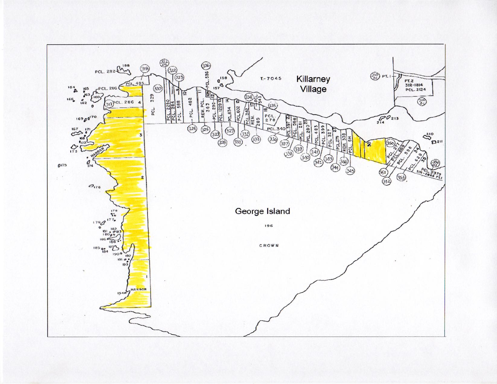